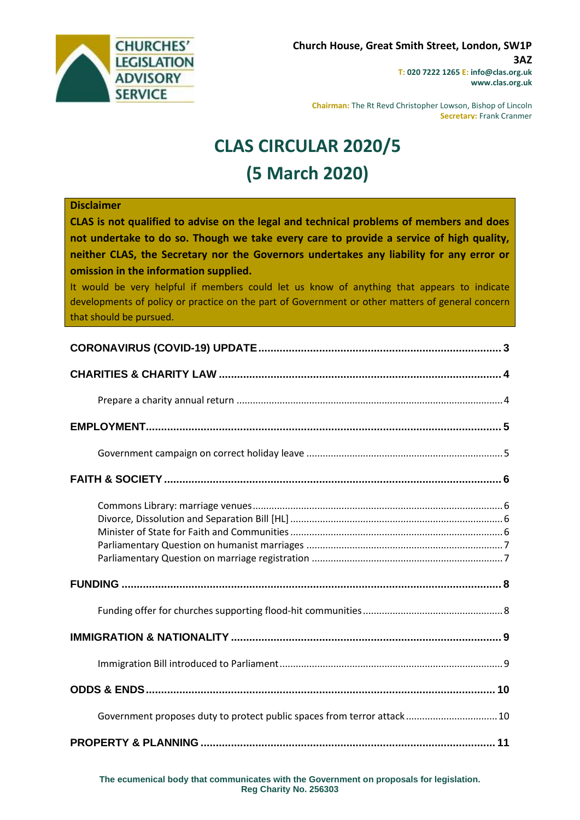

**Chairman:** The Rt Revd Christopher Lowson, Bishop of Lincoln **Secretary:** Frank Cranmer

# **CLAS CIRCULAR 2020/5 (5 March 2020)**

#### **Disclaimer**

**CLAS is not qualified to advise on the legal and technical problems of members and does not undertake to do so. Though we take every care to provide a service of high quality, neither CLAS, the Secretary nor the Governors undertakes any liability for any error or omission in the information supplied.**

It would be very helpful if members could let us know of anything that appears to indicate developments of policy or practice on the part of Government or other matters of general concern that should be pursued.

| Government proposes duty to protect public spaces from terror attack 10 |  |
|-------------------------------------------------------------------------|--|
|                                                                         |  |

**The ecumenical body that communicates with the Government on proposals for legislation. Reg Charity No. 256303**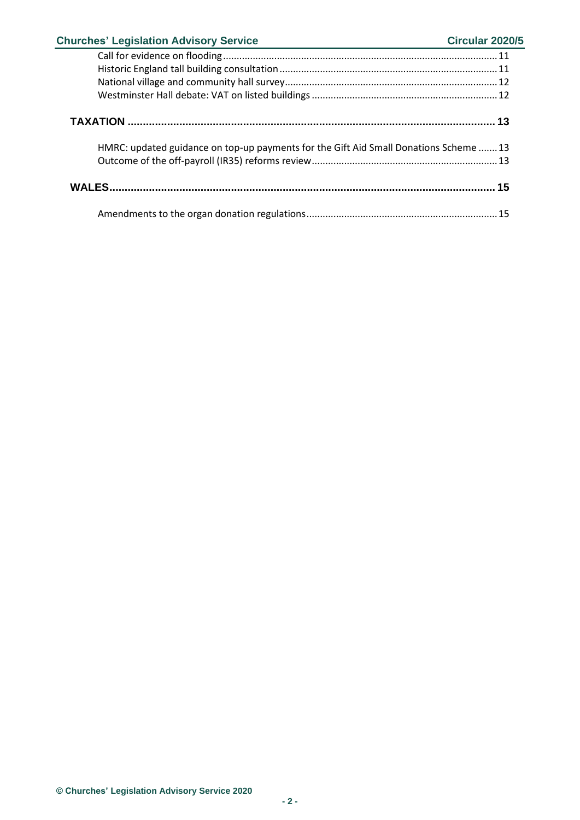| <b>Churches' Legislation Advisory Service</b>                                         | Circular 2020/5 |
|---------------------------------------------------------------------------------------|-----------------|
|                                                                                       |                 |
|                                                                                       |                 |
|                                                                                       |                 |
|                                                                                       |                 |
|                                                                                       |                 |
| HMRC: updated guidance on top-up payments for the Gift Aid Small Donations Scheme  13 |                 |
|                                                                                       |                 |
|                                                                                       |                 |
|                                                                                       |                 |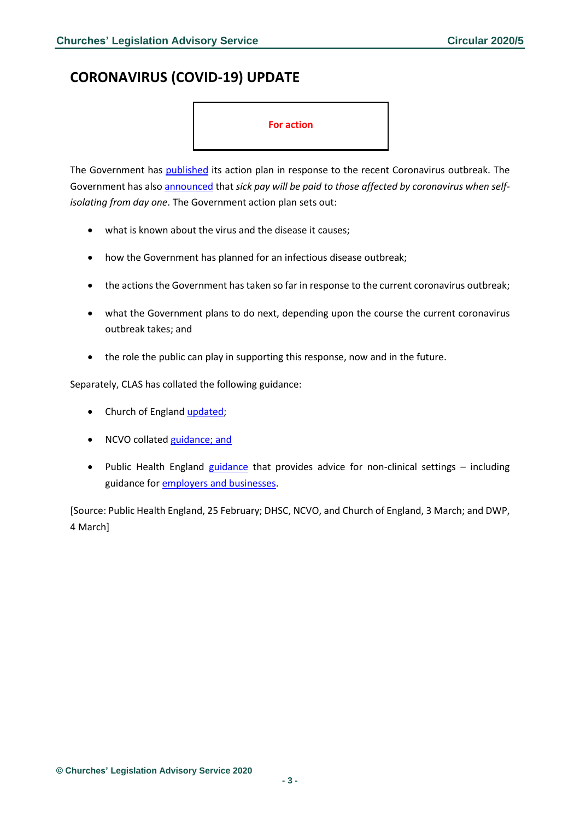# <span id="page-2-0"></span>**CORONAVIRUS (COVID-19) UPDATE**

#### **For action**

The Government has [published](https://assets.publishing.service.gov.uk/government/uploads/system/uploads/attachment_data/file/869827/Coronavirus_action_plan_-_a_guide_to_what_you_can_expect_across_the_UK.pdf) its action plan in response to the recent Coronavirus outbreak. The Government has also [announced](https://www.gov.uk/government/news/sick-pay-from-day-one-for-those-affected-by-coronavirus?utm_source=08428d62-b7a9-4c35-81eb-927dae713db6&utm_medium=email&utm_campaign=govuk-notifications&utm_content=daily) that *sick pay will be paid to those affected by coronavirus when selfisolating from day one*. The Government action plan sets out:

- what is known about the virus and the disease it causes;
- how the Government has planned for an infectious disease outbreak;
- the actions the Government has taken so far in response to the current coronavirus outbreak;
- what the Government plans to do next, depending upon the course the current coronavirus outbreak takes; and
- the role the public can play in supporting this response, now and in the future.

Separately, CLAS has collated the following guidance:

- Church of England [updated;](https://www.churchofengland.org/more/media-centre/coronavirus-covid-19-guidance-churches)
- NCVO collated [guidance;](https://www.ncvo.org.uk/practical-support/information/coronavirus?_cldee=aGVsZW4uZG9ub2dodWVAY2VudHJhbGxvYmJ5LmNvbQ%3d%3d&recipientid=contact-59e2df0ac448e411b4e4d89d6765e198-48edb559570049a9ac01b6f9ef81c600&esid=771f5402-735c-ea11-a811-000d3ab7195c) and
- Public Health England [guidance](https://www.gov.uk/government/collections/covid-19-guidance-for-non-clinical-settings-and-the-public) that provides advice for non-clinical settings including guidance fo[r employers and businesses.](https://www.gov.uk/government/publications/guidance-to-employers-and-businesses-about-covid-19/guidance-for-employers-and-businesses-on-covid-19)

[Source: Public Health England, 25 February; DHSC, NCVO, and Church of England, 3 March; and DWP, 4 March]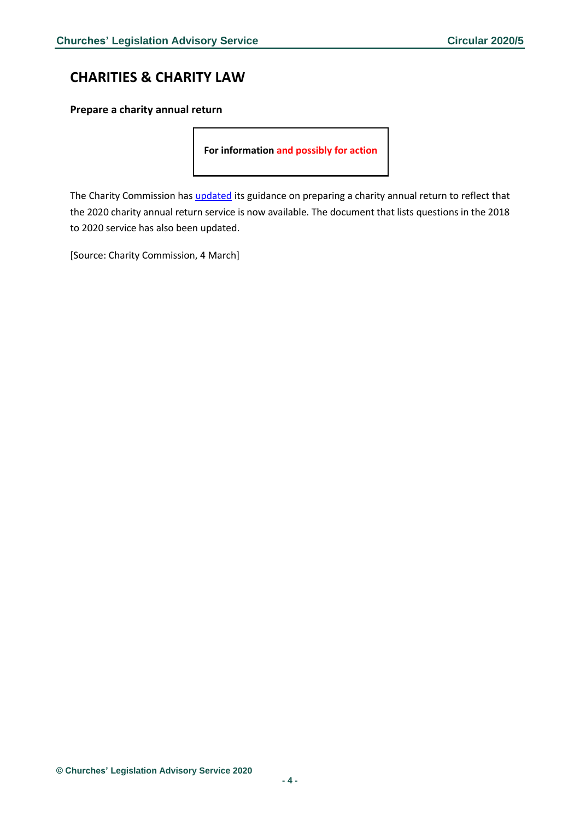# <span id="page-3-0"></span>**CHARITIES & CHARITY LAW**

<span id="page-3-1"></span>**Prepare a charity annual return**

**For information and possibly for action**

The Charity Commission has [updated](https://www.gov.uk/guidance/prepare-a-charity-annual-return?utm_source=d97d3266-dd2e-4f8a-9561-c364768371d5&utm_medium=email&utm_campaign=govuk-notifications&utm_content=daily#history) its guidance on preparing a charity annual return to reflect that the 2020 charity annual return service is now available. The document that lists questions in the 2018 to 2020 service has also been updated.

[Source: Charity Commission, 4 March]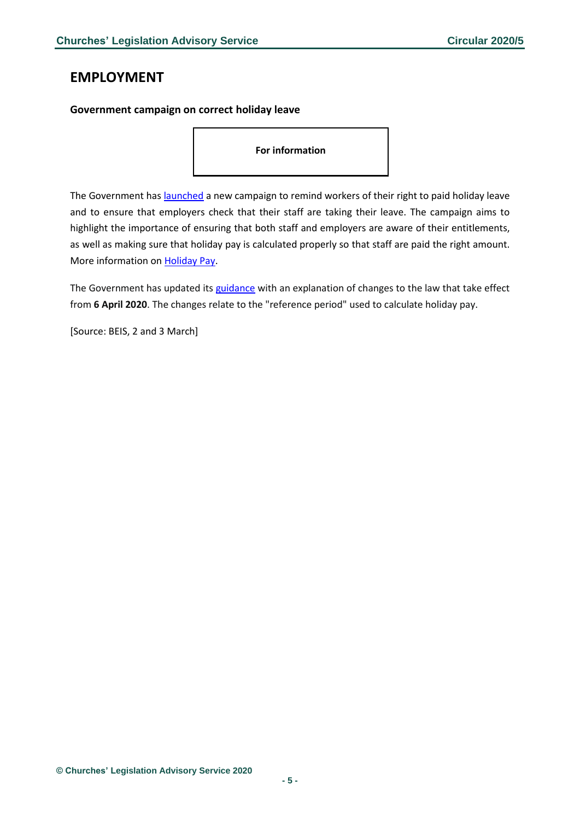# <span id="page-4-0"></span>**EMPLOYMENT**

### <span id="page-4-1"></span>**Government campaign on correct holiday leave**

**For information** 

The Government has **launched** a new campaign to remind workers of their right to paid holiday leave and to ensure that employers check that their staff are taking their leave. The campaign aims to highlight the importance of ensuring that both staff and employers are aware of their entitlements, as well as making sure that holiday pay is calculated properly so that staff are paid the right amount. More information on [Holiday Pay.](https://www.gov.uk/holiday-entitlement-rights/holiday-pay-the-basics)

The Government has updated its [guidance](https://www.gov.uk/government/publications/calculating-holiday-pay-for-workers-without-fixed-hours-or-pay?utm_source=9f420733-8dfe-4343-a7cf-42e1e777cb71&utm_medium=email&utm_campaign=govuk-notifications&utm_content=daily) with an explanation of changes to the law that take effect from **6 April 2020**. The changes relate to the "reference period" used to calculate holiday pay.

[Source: BEIS, 2 and 3 March]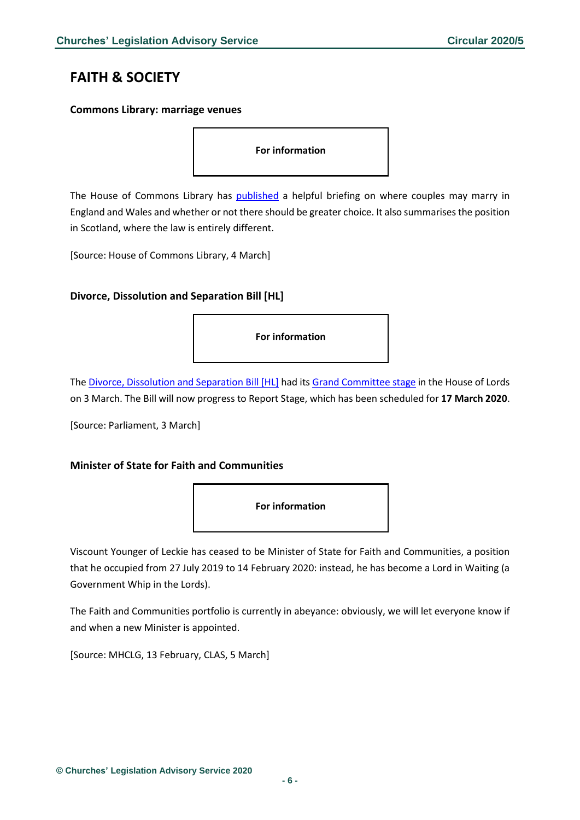# <span id="page-5-0"></span>**FAITH & SOCIETY**

#### <span id="page-5-1"></span>**Commons Library: marriage venues**

**For information** 

The House of Commons Library has [published](http://researchbriefings.files.parliament.uk/documents/SN02842/SN02842.pdf) a helpful briefing on where couples may marry in England and Wales and whether or not there should be greater choice. It also summarises the position in Scotland, where the law is entirely different.

[Source: House of Commons Library, 4 March]

### <span id="page-5-2"></span>**Divorce, Dissolution and Separation Bill [HL]**



The [Divorce, Dissolution and Separation Bill \[HL\]](https://services.parliament.uk/bills/2019-20/divorcedissolutionandseparation.html) had it[s Grand Committee](https://hansard.parliament.uk/lords/2020-03-03/debates/2599D6D6-26C3-49F6-AB22-6AC5657169F9/DivorceDissolutionAndSeparationBill(HL)) stage in the House of Lords on 3 March. The Bill will now progress to Report Stage, which has been scheduled for **17 March 2020**.

[Source: Parliament, 3 March]

# <span id="page-5-3"></span>**Minister of State for Faith and Communities**



Viscount Younger of Leckie has ceased to be Minister of State for Faith and Communities, a position that he occupied from 27 July 2019 to 14 February 2020: instead, he has become a Lord in Waiting (a Government Whip in the Lords).

The Faith and Communities portfolio is currently in abeyance: obviously, we will let everyone know if and when a new Minister is appointed.

[Source: MHCLG, 13 February, CLAS, 5 March]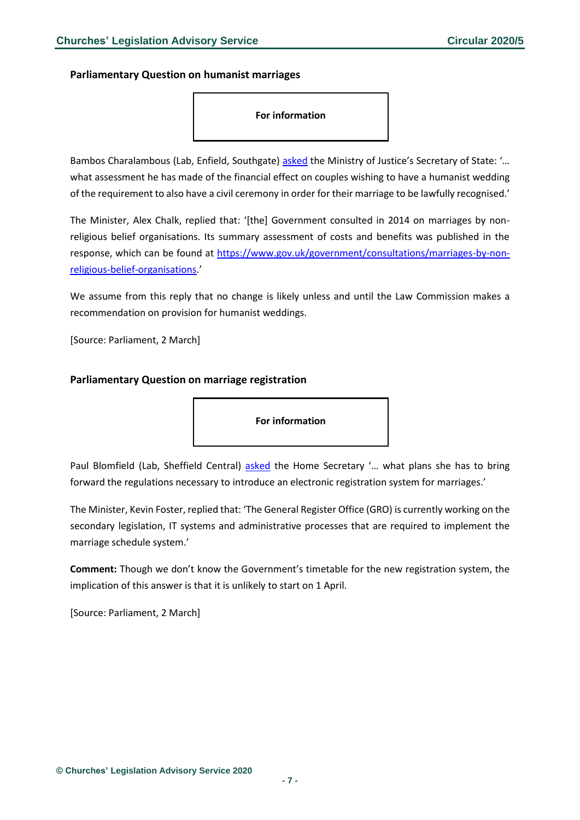#### <span id="page-6-0"></span>**Parliamentary Question on humanist marriages**

**For information**

Bambos Charalambous (Lab, Enfield, Southgate) [asked](https://www.parliament.uk/business/publications/written-questions-answers-statements/written-question/Commons/2020-02-21/18961/) the Ministry of Justice's Secretary of State: '… what assessment he has made of the financial effect on couples wishing to have a humanist wedding of the requirement to also have a civil ceremony in order for their marriage to be lawfully recognised.'

The Minister, Alex Chalk, replied that: '[the] Government consulted in 2014 on marriages by nonreligious belief organisations. Its summary assessment of costs and benefits was published in the response, which can be found at [https://www.gov.uk/government/consultations/marriages-by-non](https://www.gov.uk/government/consultations/marriages-by-non-religious-belief-organisations)[religious-belief-organisations.](https://www.gov.uk/government/consultations/marriages-by-non-religious-belief-organisations)'

We assume from this reply that no change is likely unless and until the Law Commission makes a recommendation on provision for humanist weddings.

[Source: Parliament, 2 March]

#### <span id="page-6-1"></span>**Parliamentary Question on marriage registration**

**For information**

Paul Blomfield (Lab, Sheffield Central) [asked](https://www.parliament.uk/business/publications/written-questions-answers-statements/written-question/Commons/2020-02-21/18774/) the Home Secretary '... what plans she has to bring forward the regulations necessary to introduce an electronic registration system for marriages.'

The Minister, Kevin Foster, replied that: 'The General Register Office (GRO) is currently working on the secondary legislation, IT systems and administrative processes that are required to implement the marriage schedule system.'

**Comment:** Though we don't know the Government's timetable for the new registration system, the implication of this answer is that it is unlikely to start on 1 April.

[Source: Parliament, 2 March]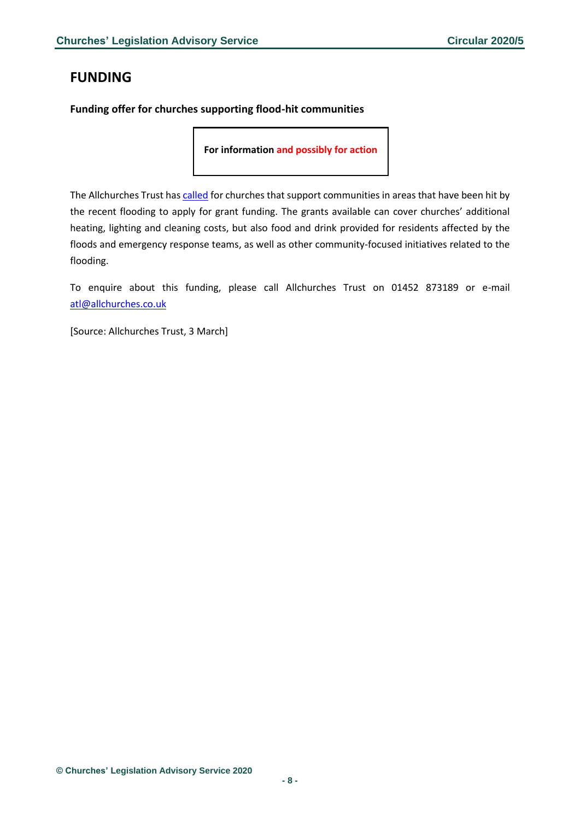# <span id="page-7-0"></span>**FUNDING**

# <span id="page-7-1"></span>**Funding offer for churches supporting flood-hit communities**

**For information and possibly for action**

The Allchurches Trust ha[s called](http://www.allchurches.co.uk/news/funding-for-flood-hit-churches/) for churches that support communities in areas that have been hit by the recent flooding to apply for grant funding. The grants available can cover churches' additional heating, lighting and cleaning costs, but also food and drink provided for residents affected by the floods and emergency response teams, as well as other community-focused initiatives related to the flooding.

To enquire about this funding, please call Allchurches Trust on 01452 873189 or e-mail [atl@allchurches.co.uk](mailto:atl@allchurches.co.uk)

[Source: Allchurches Trust, 3 March]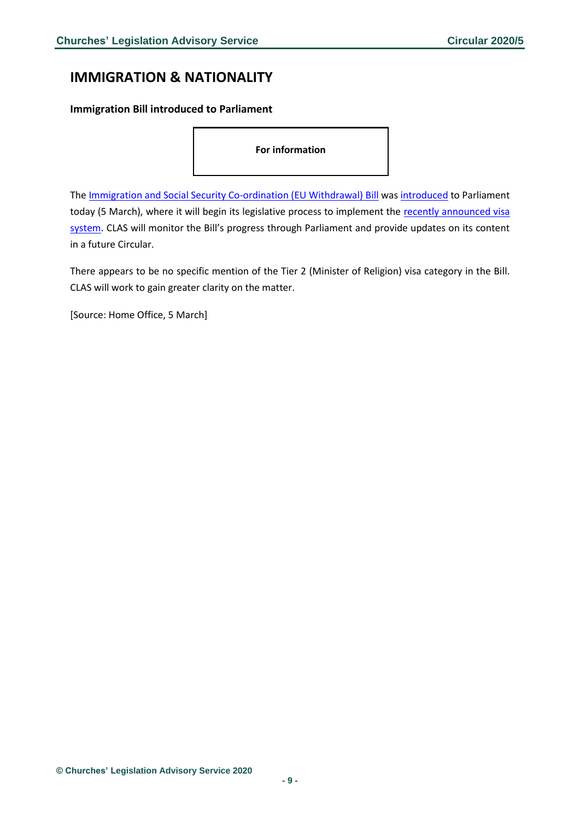# <span id="page-8-0"></span>**IMMIGRATION & NATIONALITY**

#### <span id="page-8-1"></span>**Immigration Bill introduced to Parliament**

**For information** 

The [Immigration and Social Security Co-ordination \(EU Withdrawal\) Bill](https://www.gov.uk/government/publications/immigration-bill-2020-overarching-documents?utm_source=a6ce4696-3dfd-49f2-ac70-053c36fe9bd3&utm_medium=email&utm_campaign=govuk-notifications&utm_content=immediate) was [introduced](https://www.gov.uk/government/news/landmark-immigration-bill-to-end-free-movement-introduced-to-parliament) to Parliament today (5 March), where it will begin its legislative process to implement the recently announced visa [system](https://www.churcheslegislation.org.uk/circular-articles/uk-points-based-immigration-system/). CLAS will monitor the Bill's progress through Parliament and provide updates on its content in a future Circular.

There appears to be no specific mention of the Tier 2 (Minister of Religion) visa category in the Bill. CLAS will work to gain greater clarity on the matter.

[Source: Home Office, 5 March]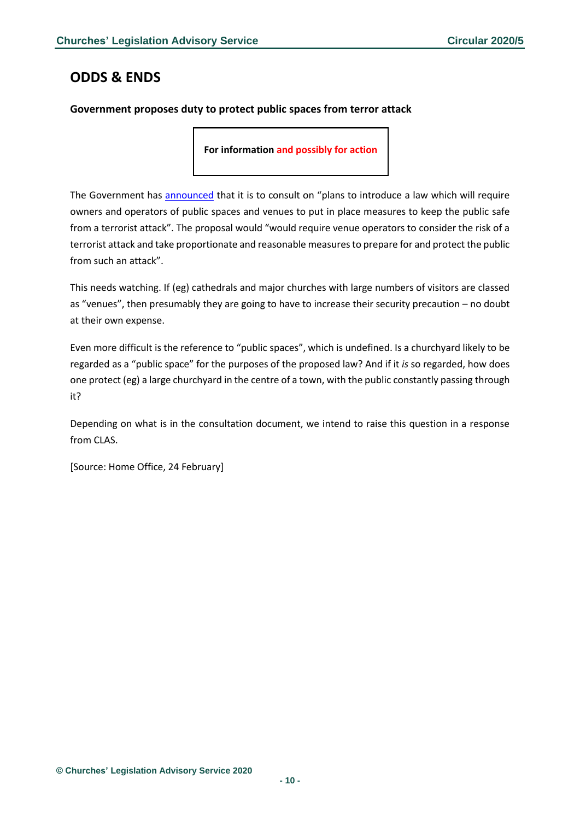# <span id="page-9-0"></span>**ODDS & ENDS**

# <span id="page-9-1"></span>**Government proposes duty to protect public spaces from terror attack**

**For information and possibly for action** 

The Government has [announced](https://www.gov.uk/government/news/government-proposes-duty-to-protect-public-spaces-from-terror) that it is to consult on "plans to introduce a law which will require owners and operators of public spaces and venues to put in place measures to keep the public safe from a terrorist attack". The proposal would "would require venue operators to consider the risk of a terrorist attack and take proportionate and reasonable measures to prepare for and protect the public from such an attack".

This needs watching. If (eg) cathedrals and major churches with large numbers of visitors are classed as "venues", then presumably they are going to have to increase their security precaution – no doubt at their own expense.

Even more difficult is the reference to "public spaces", which is undefined. Is a churchyard likely to be regarded as a "public space" for the purposes of the proposed law? And if it *is* so regarded, how does one protect (eg) a large churchyard in the centre of a town, with the public constantly passing through it?

Depending on what is in the consultation document, we intend to raise this question in a response from CLAS.

[Source: Home Office, 24 February]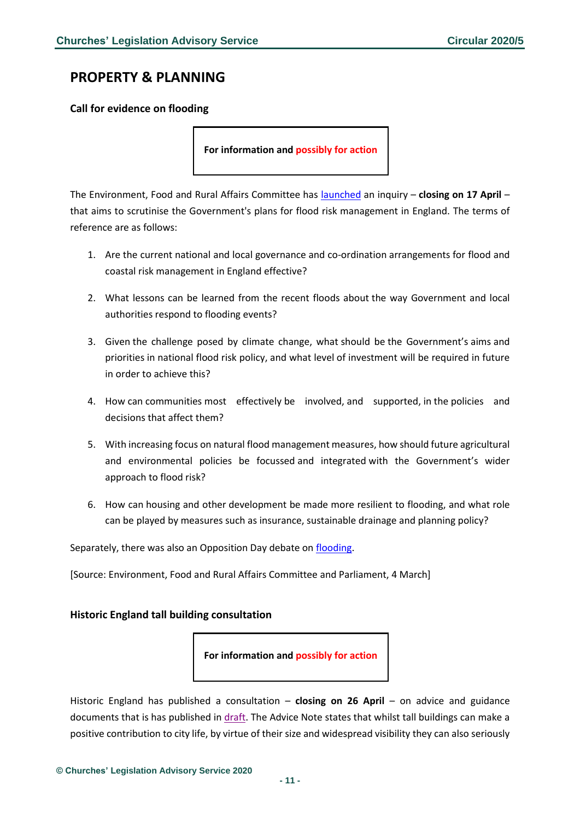# <span id="page-10-0"></span>**PROPERTY & PLANNING**

<span id="page-10-1"></span>**Call for evidence on flooding**

**For information and possibly for action**

The Environment, Food and Rural Affairs Committee has [launched](https://committees.parliament.uk/call-for-evidence/33/flooding/) an inquiry – **closing on 17 April** – that aims to scrutinise the Government's plans for flood risk management in England. The terms of reference are as follows:

- 1. Are the current national and local governance and co-ordination arrangements for flood and coastal risk management in England effective?
- 2. What lessons can be learned from the recent floods about the way Government and local authorities respond to flooding events?
- 3. Given the challenge posed by climate change, what should be the Government's aims and priorities in national flood risk policy, and what level of investment will be required in future in order to achieve this?
- 4. How can communities most effectively be involved, and supported, in the policies and decisions that affect them?
- 5. With increasing focus on natural flood management measures, how should future agricultural and environmental policies be focussed and integrated with the Government's wider approach to flood risk?
- 6. How can housing and other development be made more resilient to flooding, and what role can be played by measures such as insurance, sustainable drainage and planning policy?

Separately, there was also an Opposition Day debate on *flooding*.

[Source: Environment, Food and Rural Affairs Committee and Parliament, 4 March]

### <span id="page-10-2"></span>**Historic England tall building consultation**



Historic England has published a consultation – **closing on 26 April** – on advice and guidance documents that is has published in [draft.](https://historicengland.org.uk/content/docs/guidance/tall-buildings-hean4-consultation-draft/) The Advice Note states that whilst tall buildings can make a positive contribution to city life, by virtue of their size and widespread visibility they can also seriously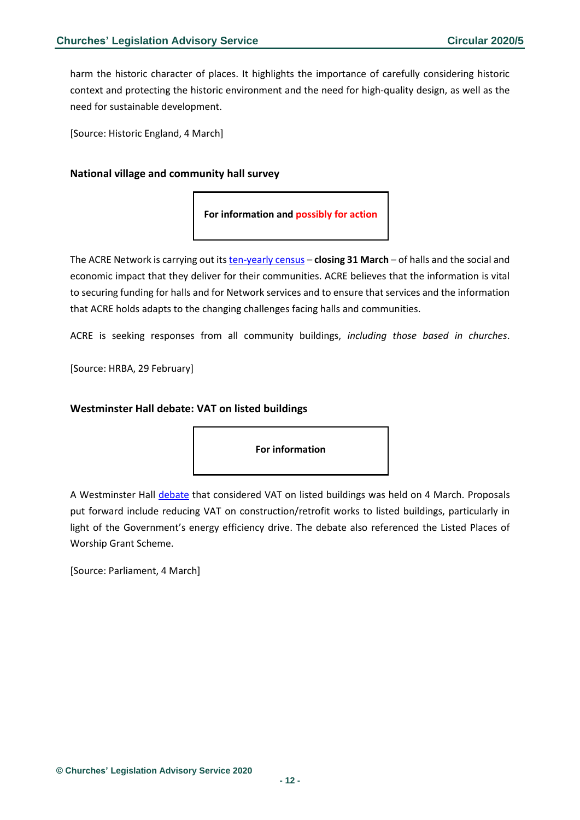harm the historic character of places. It highlights the importance of carefully considering historic context and protecting the historic environment and the need for high-quality design, as well as the need for sustainable development.

[Source: Historic England, 4 March]

#### <span id="page-11-0"></span>**National village and community hall survey**

**For information and possibly for action**

The ACRE Network is carrying out its [ten-yearly census](https://acre.org.uk/our-work/national-village-and-community-hall-survey) – **closing 31 March** – of halls and the social and economic impact that they deliver for their communities. ACRE believes that the information is vital to securing funding for halls and for Network services and to ensure that services and the information that ACRE holds adapts to the changing challenges facing halls and communities.

ACRE is seeking responses from all community buildings, *including those based in churches*.

[Source: HRBA, 29 February]

#### <span id="page-11-1"></span>**Westminster Hall debate: VAT on listed buildings**

**For information** 

A Westminster Hall [debate](https://hansard.parliament.uk/commons/2020-03-04/debates/BEC8EA13-13B7-447D-9B37-E34AB8C83CEC/VAT(ListedProperties)) that considered VAT on listed buildings was held on 4 March. Proposals put forward include reducing VAT on construction/retrofit works to listed buildings, particularly in light of the Government's energy efficiency drive. The debate also referenced the Listed Places of Worship Grant Scheme.

[Source: Parliament, 4 March]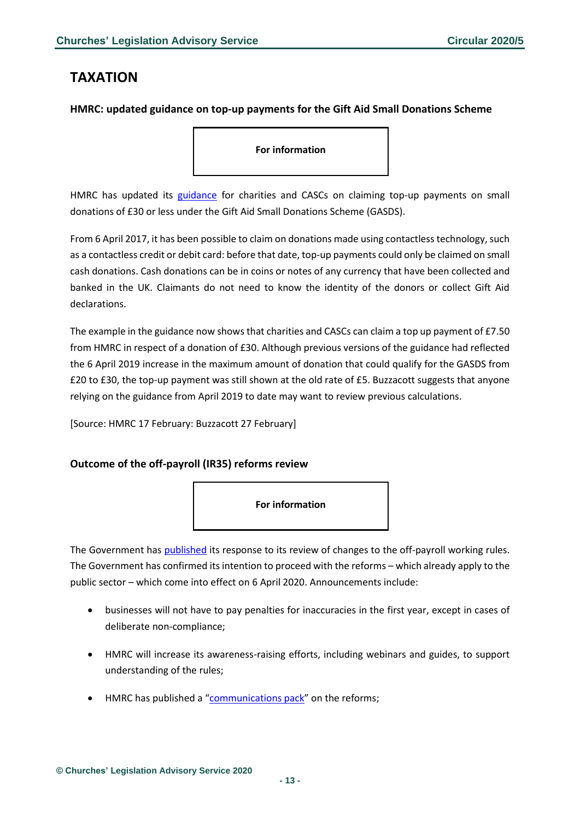# <span id="page-12-0"></span>**TAXATION**

### <span id="page-12-1"></span>**HMRC: updated guidance on top-up payments for the Gift Aid Small Donations Scheme**

**For information**

HMRC has updated its [guidance](https://www.gov.uk/guidance/claiming-a-top-up-payment-on-small-charitable-donations) for charities and CASCs on claiming top-up payments on small donations of £30 or less under the Gift Aid Small Donations Scheme (GASDS).

From 6 April 2017, it has been possible to claim on donations made using contactless technology, such as a contactless credit or debit card: before that date, top-up payments could only be claimed on small cash donations. Cash donations can be in coins or notes of any currency that have been collected and banked in the UK. Claimants do not need to know the identity of the donors or collect Gift Aid declarations.

The example in the guidance now shows that charities and CASCs can claim a top up payment of £7.50 from HMRC in respect of a donation of £30. Although previous versions of the guidance had reflected the 6 April 2019 increase in the maximum amount of donation that could qualify for the GASDS from £20 to £30, the top-up payment was still shown at the old rate of £5. Buzzacott suggests that anyone relying on the guidance from April 2019 to date may want to review previous calculations.

[Source: HMRC 17 February: Buzzacott 27 February]

### <span id="page-12-2"></span>**Outcome of the off-payroll (IR35) reforms review**



The Government has [published](https://assets.publishing.service.gov.uk/government/uploads/system/uploads/attachment_data/file/867519/20-02-19_-_FINAL_Off-payroll_Review_Document.pdf) its response to its review of changes to the off-payroll working rules. The Government has confirmed its intention to proceed with the reforms – which already apply to the public sector – which come into effect on 6 April 2020. Announcements include:

- businesses will not have to pay penalties for inaccuracies in the first year, except in cases of deliberate non-compliance;
- HMRC will increase its awareness-raising efforts, including webinars and guides, to support understanding of the rules;
- HMRC has published a "[communications pack](https://www.gov.uk/government/publications/off-payroll-working-rules-communication-resources)" on the reforms;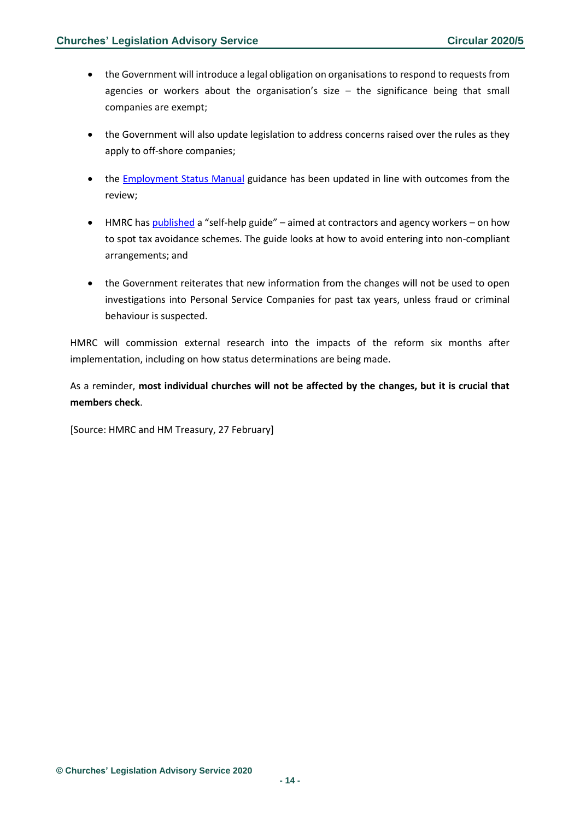- the Government will introduce a legal obligation on organisations to respond to requests from agencies or workers about the organisation's size  $-$  the significance being that small companies are exempt;
- the Government will also update legislation to address concerns raised over the rules as they apply to off-shore companies;
- the [Employment Status Manual](https://www.gov.uk/hmrc-internal-manuals/employment-status-manual) guidance has been updated in line with outcomes from the review;
- HMRC has [published](https://www.gov.uk/guidance/tax-avoidance-schemes-aimed-at-contractors-and-agency-workers) a "self-help guide" aimed at contractors and agency workers on how to spot tax avoidance schemes. The guide looks at how to avoid entering into non-compliant arrangements; and
- the Government reiterates that new information from the changes will not be used to open investigations into Personal Service Companies for past tax years, unless fraud or criminal behaviour is suspected.

HMRC will commission external research into the impacts of the reform six months after implementation, including on how status determinations are being made.

As a reminder, **most individual churches will not be affected by the changes, but it is crucial that members check**.

[Source: HMRC and HM Treasury, 27 February]